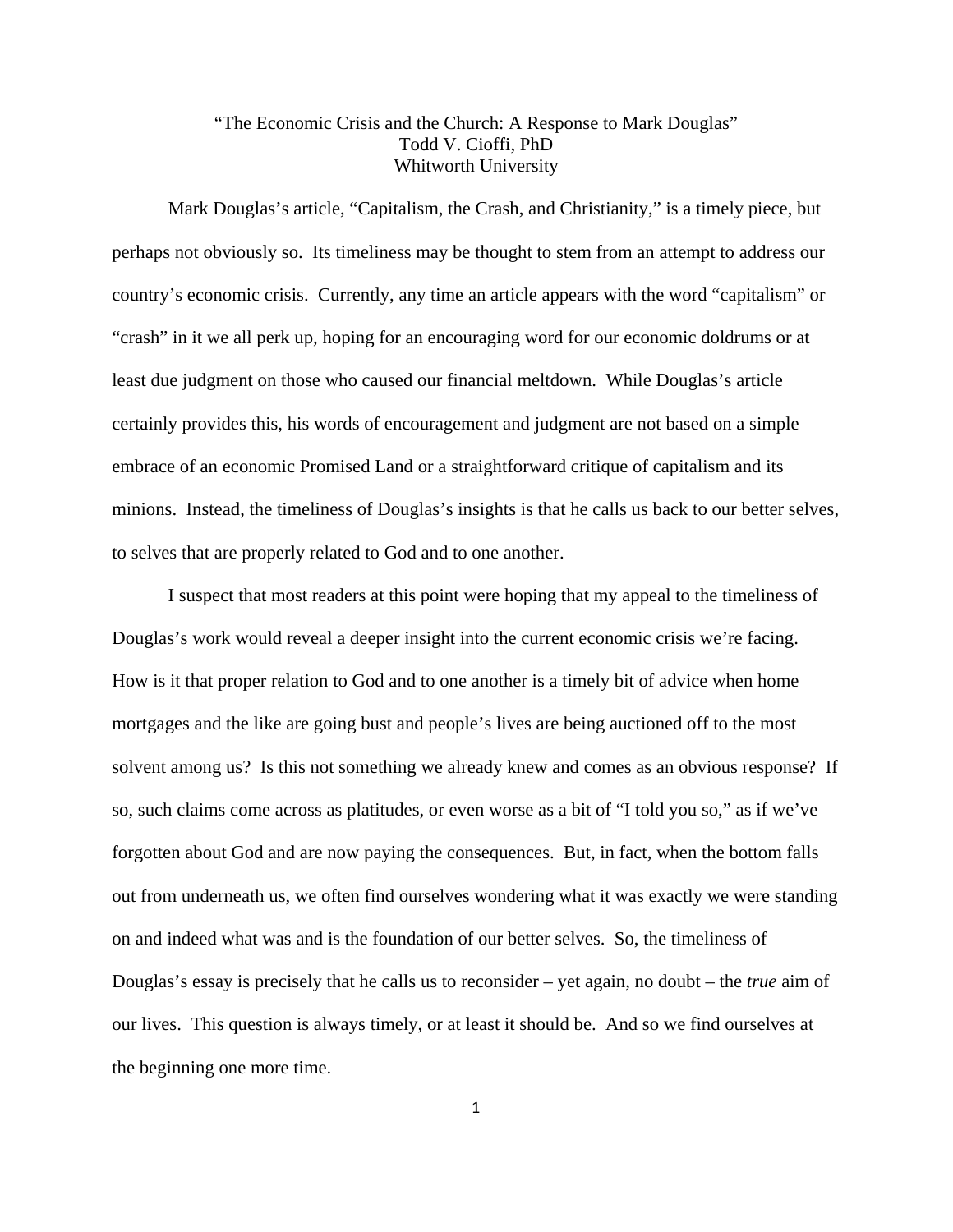## "The Economic Crisis and the Church: A Response to Mark Douglas" Todd V. Cioffi, PhD Whitworth University

Mark Douglas's article, "Capitalism, the Crash, and Christianity," is a timely piece, but perhaps not obviously so. Its timeliness may be thought to stem from an attempt to address our country's economic crisis. Currently, any time an article appears with the word "capitalism" or "crash" in it we all perk up, hoping for an encouraging word for our economic doldrums or at least due judgment on those who caused our financial meltdown. While Douglas's article certainly provides this, his words of encouragement and judgment are not based on a simple embrace of an economic Promised Land or a straightforward critique of capitalism and its minions. Instead, the timeliness of Douglas's insights is that he calls us back to our better selves, to selves that are properly related to God and to one another.

I suspect that most readers at this point were hoping that my appeal to the timeliness of Douglas's work would reveal a deeper insight into the current economic crisis we're facing. How is it that proper relation to God and to one another is a timely bit of advice when home mortgages and the like are going bust and people's lives are being auctioned off to the most solvent among us? Is this not something we already knew and comes as an obvious response? If so, such claims come across as platitudes, or even worse as a bit of "I told you so," as if we've forgotten about God and are now paying the consequences. But, in fact, when the bottom falls out from underneath us, we often find ourselves wondering what it was exactly we were standing on and indeed what was and is the foundation of our better selves. So, the timeliness of Douglas's essay is precisely that he calls us to reconsider – yet again, no doubt – the *true* aim of our lives. This question is always timely, or at least it should be. And so we find ourselves at the beginning one more time.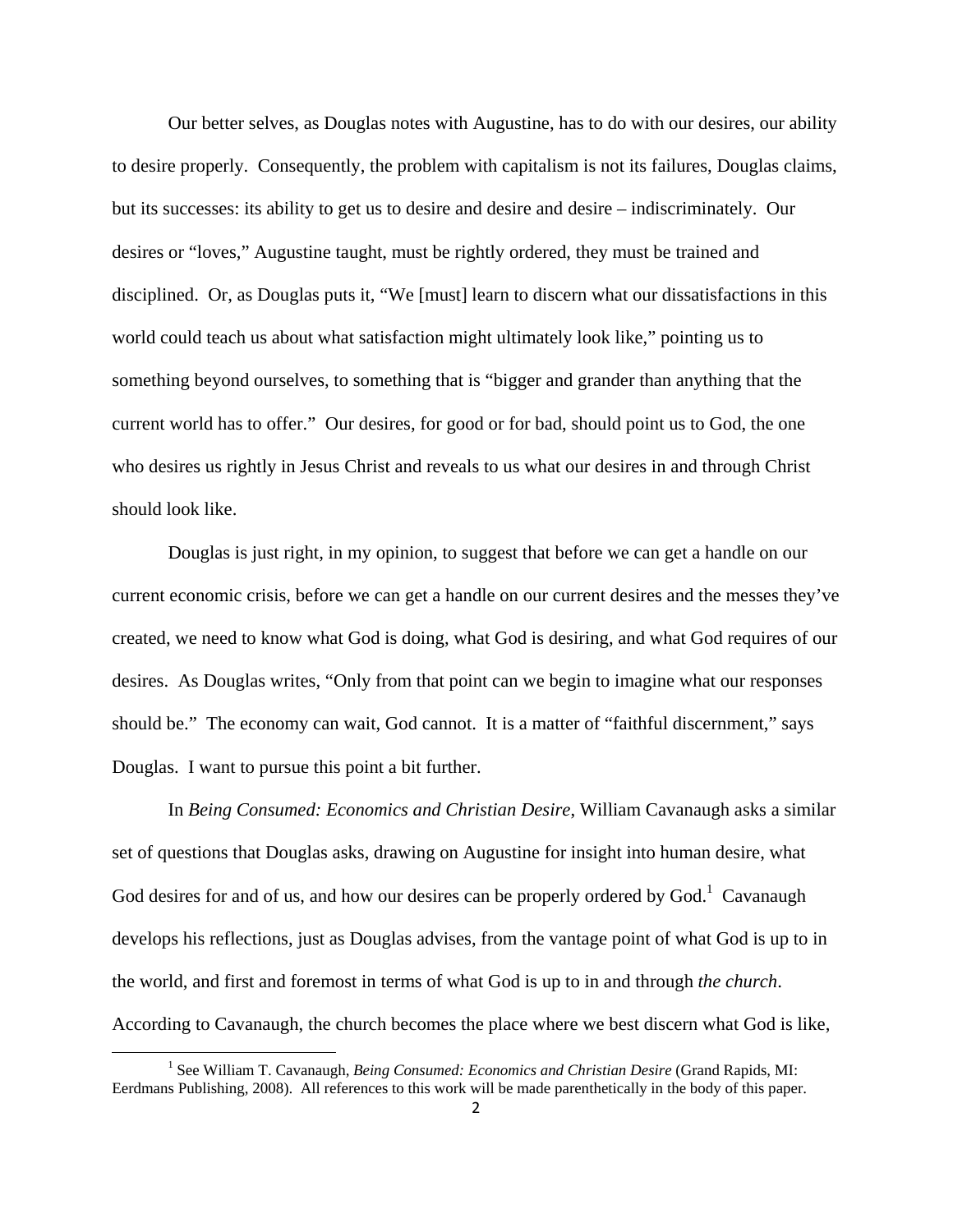Our better selves, as Douglas notes with Augustine, has to do with our desires, our ability to desire properly. Consequently, the problem with capitalism is not its failures, Douglas claims, but its successes: its ability to get us to desire and desire and desire – indiscriminately. Our desires or "loves," Augustine taught, must be rightly ordered, they must be trained and disciplined. Or, as Douglas puts it, "We [must] learn to discern what our dissatisfactions in this world could teach us about what satisfaction might ultimately look like," pointing us to something beyond ourselves, to something that is "bigger and grander than anything that the current world has to offer." Our desires, for good or for bad, should point us to God, the one who desires us rightly in Jesus Christ and reveals to us what our desires in and through Christ should look like.

 Douglas is just right, in my opinion, to suggest that before we can get a handle on our current economic crisis, before we can get a handle on our current desires and the messes they've created, we need to know what God is doing, what God is desiring, and what God requires of our desires. As Douglas writes, "Only from that point can we begin to imagine what our responses should be." The economy can wait, God cannot. It is a matter of "faithful discernment," says Douglas. I want to pursue this point a bit further.

 In *Being Consumed: Economics and Christian Desire*, William Cavanaugh asks a similar set of questions that Douglas asks, drawing on Augustine for insight into human desire, what God desires for and of us, and how our desires can be properly ordered by  $God.$ <sup>1</sup> Cavanaugh develops his reflections, just as Douglas advises, from the vantage point of what God is up to in the world, and first and foremost in terms of what God is up to in and through *the church*. According to Cavanaugh, the church becomes the place where we best discern what God is like,

<sup>&</sup>lt;u>1</u> <sup>1</sup> See William T. Cavanaugh, *Being Consumed: Economics and Christian Desire* (Grand Rapids, MI: Eerdmans Publishing, 2008). All references to this work will be made parenthetically in the body of this paper.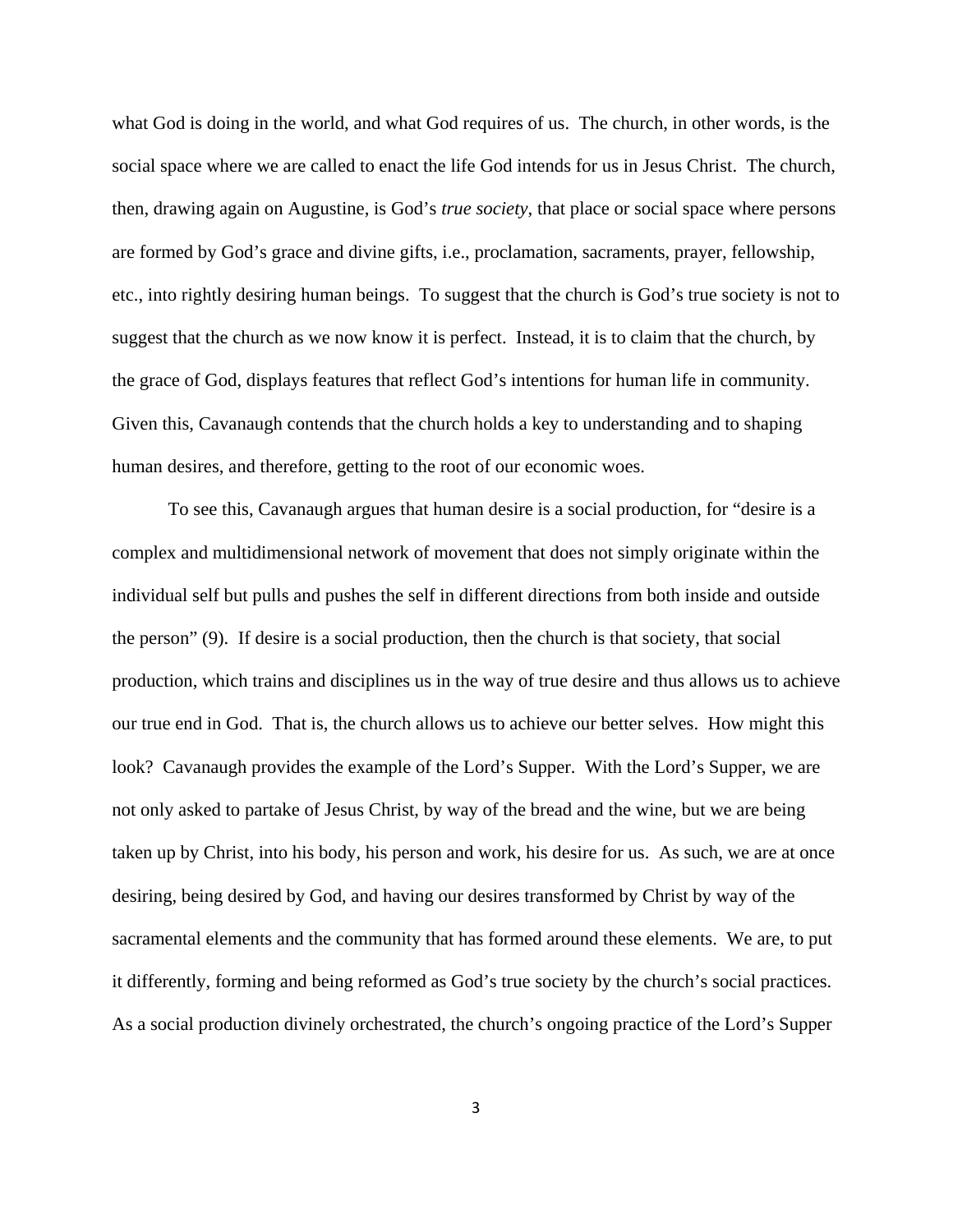what God is doing in the world, and what God requires of us. The church, in other words, is the social space where we are called to enact the life God intends for us in Jesus Christ. The church, then, drawing again on Augustine, is God's *true society*, that place or social space where persons are formed by God's grace and divine gifts, i.e., proclamation, sacraments, prayer, fellowship, etc., into rightly desiring human beings. To suggest that the church is God's true society is not to suggest that the church as we now know it is perfect. Instead, it is to claim that the church, by the grace of God, displays features that reflect God's intentions for human life in community. Given this, Cavanaugh contends that the church holds a key to understanding and to shaping human desires, and therefore, getting to the root of our economic woes.

To see this, Cavanaugh argues that human desire is a social production, for "desire is a complex and multidimensional network of movement that does not simply originate within the individual self but pulls and pushes the self in different directions from both inside and outside the person" (9). If desire is a social production, then the church is that society, that social production, which trains and disciplines us in the way of true desire and thus allows us to achieve our true end in God. That is, the church allows us to achieve our better selves. How might this look? Cavanaugh provides the example of the Lord's Supper. With the Lord's Supper, we are not only asked to partake of Jesus Christ, by way of the bread and the wine, but we are being taken up by Christ, into his body, his person and work, his desire for us. As such, we are at once desiring, being desired by God, and having our desires transformed by Christ by way of the sacramental elements and the community that has formed around these elements. We are, to put it differently, forming and being reformed as God's true society by the church's social practices. As a social production divinely orchestrated, the church's ongoing practice of the Lord's Supper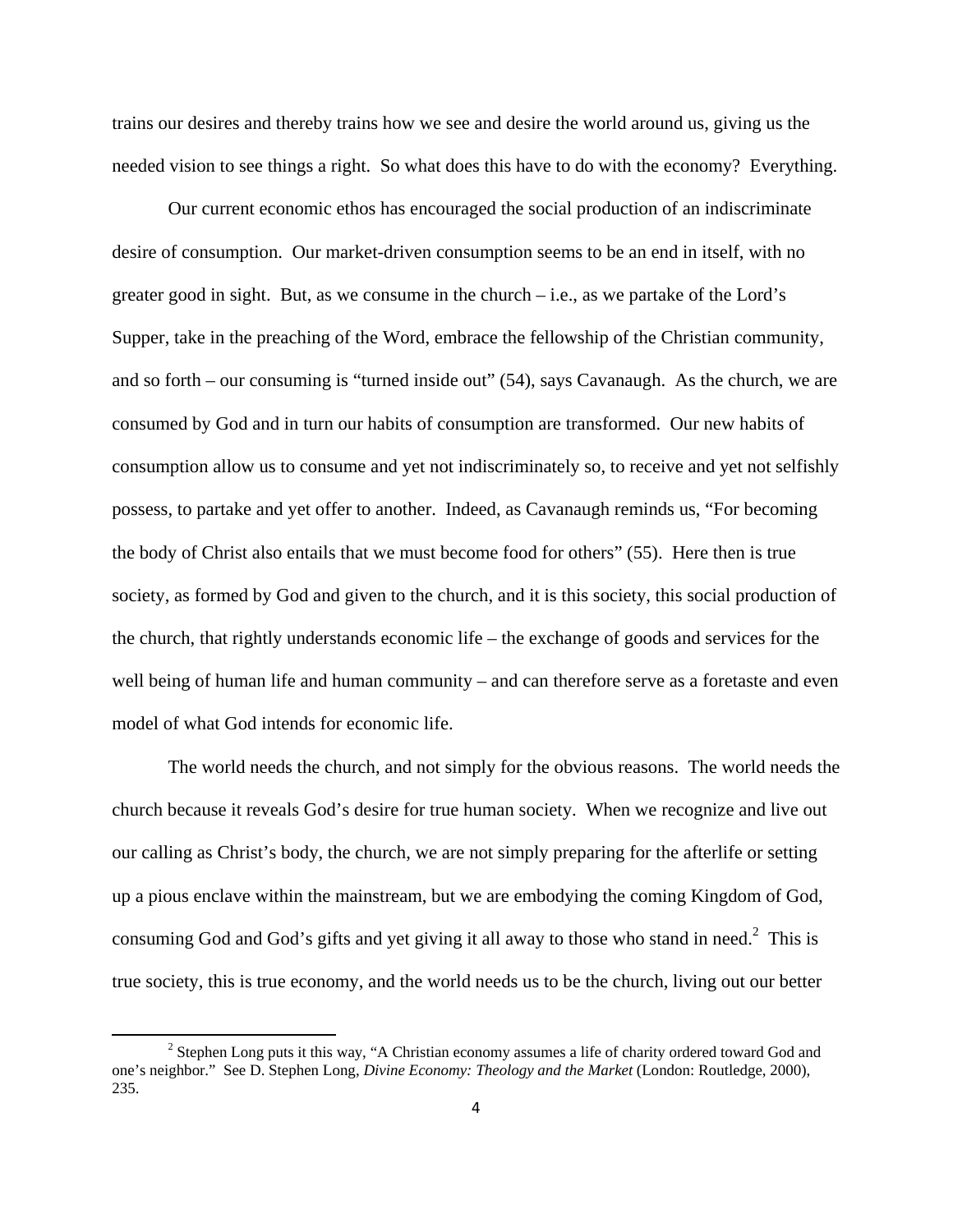trains our desires and thereby trains how we see and desire the world around us, giving us the needed vision to see things a right. So what does this have to do with the economy? Everything.

 Our current economic ethos has encouraged the social production of an indiscriminate desire of consumption. Our market-driven consumption seems to be an end in itself, with no greater good in sight. But, as we consume in the church  $-i.e.,$  as we partake of the Lord's Supper, take in the preaching of the Word, embrace the fellowship of the Christian community, and so forth – our consuming is "turned inside out" (54), says Cavanaugh. As the church, we are consumed by God and in turn our habits of consumption are transformed. Our new habits of consumption allow us to consume and yet not indiscriminately so, to receive and yet not selfishly possess, to partake and yet offer to another. Indeed, as Cavanaugh reminds us, "For becoming the body of Christ also entails that we must become food for others" (55). Here then is true society, as formed by God and given to the church, and it is this society, this social production of the church, that rightly understands economic life – the exchange of goods and services for the well being of human life and human community – and can therefore serve as a foretaste and even model of what God intends for economic life.

 The world needs the church, and not simply for the obvious reasons. The world needs the church because it reveals God's desire for true human society. When we recognize and live out our calling as Christ's body, the church, we are not simply preparing for the afterlife or setting up a pious enclave within the mainstream, but we are embodying the coming Kingdom of God, consuming God and God's gifts and yet giving it all away to those who stand in need. $2$  This is true society, this is true economy, and the world needs us to be the church, living out our better

 $\overline{\phantom{a}}$ <sup>2</sup> Stephen Long puts it this way, "A Christian economy assumes a life of charity ordered toward God and one's neighbor." See D. Stephen Long, *Divine Economy: Theology and the Market* (London: Routledge, 2000), 235.